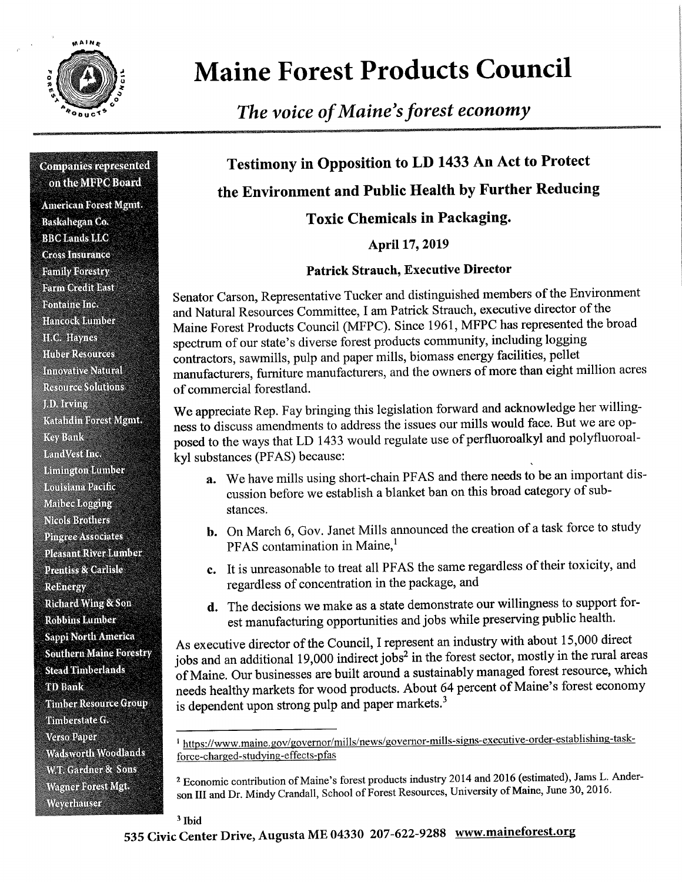

# Maine Forest Products Council

The voice of Maine's forest economy

#### **Companies represented** on the MFPC Board

:<br>1 W t ' tware tware the tware tware tware tware tware tware tware tware tware tware tware tware tware tware tw

u

- - "'Z'Jl'i;\::\_,\_""' \_\_\_...~ ~ \_\_\_.

 $-$ 

American Forest Mgmt. Baskahegan Co. **BBC** Lands LLC **Cross Insurance** Family Forestry **Farm Credit East Fontaine Inc.** Hancock Lumber H.C. Haynes **Huber Resources Innovative Natural Resource Solutions** J.D. Irving Katalıdin Forest Mgmt. **Key Bank** LandVest Inc. **Limington Lumber** Louisiana Pacific Maibee Logging **Nicols Brothers Pingree Associates Pleasant River Lumber Prentiss & Carlisle Rebnergy Richard Wing & Son Robbins Lumber** Sappi North America **Southern Maine Forestry Stead Timberlands TD** Bank **Timber Resource Group** Timberstate G. **Verso Paper** Wadsworth Woodlands W.T. Gardner & Sons **Wagner Forest Mgt.** Weyerhauser

## Testimony in Opposition to LD 1433 An Act to Protect the Environment and Public Health by Further Reducing

>-\_<-l-\_-\_.\_.».\_-~ - \_;.. - ii\_\_\_\_.\_ W. -

 $_{\rm max}$ 

-2. \_ \_

E

Toxic Chemicals in Packaging.

April 17, 2019

#### Patrick Strauch, Executive Director

Senator Carson, Representative Tucker and distinguished members of the Environment and Natural Resources Committee, I am Patrick Strauch, executive director of the Maine Forest Products Council (MFPC). Since 1961, MFPC has represented the broad spectrum of our state's diverse forest products community, including logging contractors, sawmills, pulp and paper mills, biomass energy facilities, pellet manufacturers, furniture manufacturers, and the owners of more than eight million acres of commercial forestland.

We appreciate Rep. Fay bringing this legislation forward and acknowledge her willingness to discuss amendments to address the issues our mills would face. But we are opposed to the ways that LD 1433 would regulate use of perfluoroalkyl and polyfluoroalkyl substances (PFAS) because:

- a. We have mills using short-chain PFAS and there needs to be an important discussion before we establish a blanket ban on this broad category of substances.
- b. On March 6, Gov. Janet Mills announced the creation of a task force to study PFAS contamination in Maine,
- c. It is unreasonable to treat all PFAS the same regardless of their toxicity, and regardless of concentration in the package, and
- d. The decisions we make as a state demonstrate our willingness to support forest manufacturing opportunities and jobs while preserving public health.

As executive director of the Council, I represent an industry with about 15,000 direct jobs and an additional 19,000 indirect jobs<sup>2</sup> in the forest sector, mostly in the rural areas of Maine. Our businesses are built around a sustainably managed forest resource, which needs healthy markets for wood products. About 64 percent of Maine's forest economy is dependent upon strong pulp and paper markets.<sup>3</sup>

#### <sup>3</sup> Ibid

<sup>&</sup>lt;sup>1</sup> https://www.maine.gov/governor/mills/news/governor-mills-signs-executive-order-establishing-taskforce-charged-studying-effects-pfas

<sup>&</sup>lt;sup>2</sup> Economic contribution of Maine's forest products industry 2014 and 2016 (estimated), Jams L. Anderson III and Dr. Mindy Crandall, School of Forest Resources, University of Maine, June 30, 2016.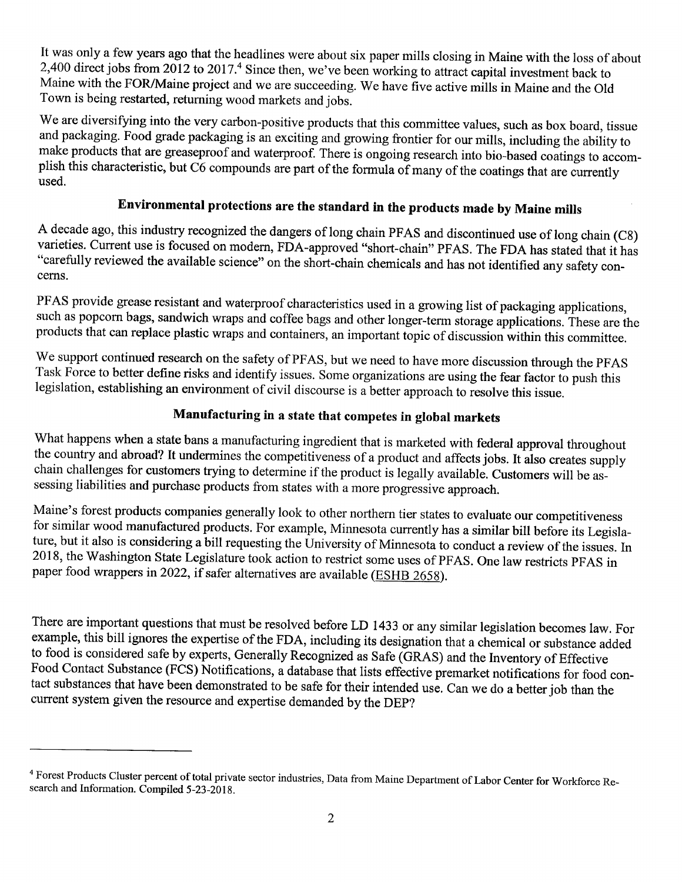It was only a few years ago that the headlines were about six paper mills closing in Maine with the loss of about 2,400 direct jobs from 2012 to 2017.4 Since then, we ve been working to attract capital investment back to Maine with the FOR/Maine project and we are succeeding. We have five active mills in Maine and the Old Town is being restarted, returning wood markets and jobs.

We are diversifying into the very carbon-positive products that this committee values, such as box board, tissue and packaging. Food grade packaging is an exciting and growing frontier for our mills, including the ability to make products that are greaseproof and waterproof. There is ongoing research into bio-based coatings to accomplish this characteristic, but C6 compounds are part of the formula of many of the coatings that are currently used.

### Environmental protections are the standard in the products made by Maine mills

<sup>A</sup>decade ago, this industry recognized the dangers of long chain PFAS and discontinued use of long chain (C8) varieties. Current use is focused on modern, FDA-approved "short-chain" PFAS. The FDA has stated that it has "carefully reviewed the available science" on the short-chain chemicals and has not identified any safety concerns.

PFAS provide grease resistant and waterproof characteristics used in a growing list of packaging applications, such as popcorn bags, sandwich wraps and coffee bags and other longer-term storage applications. These are the products that can replace plastic wraps and containers, an important topic of discussion within this committee.

We support continued research on the safety of PFAS, but we need to have more discussion through the PFAS Task Force to better define risks and identify issues. Some organizations are using the fear factor to push this legislation, establishing an enviromnent of civil discourse is a better approach to resolve this issue.

#### Manufacturing in a state that competes in global markets

What happens when a state bans a manufacturing ingredient that is marketed with federal approval throughout the country and abroad? It undermines the competitiveness of a product and affects jobs. It also creates supply chain challenges for customers trying to determine if the product is legally available. Customers will be assessing liabilities and purchase products from states with a more progressive approach.

Maine's forest products companies generally look to other northern tier states to evaluate our competitiveness for similar wood manufactured products. For example, Minnesota currently has a similar bill before its Legislature, but it also is considering a bill requesting the University of Minnesota to conduct a review of the issues. In 2018, the Washington State Legislature took action to restrict some uses of PFAS. One law restricts PFAS in paper food wrappers in 2022, if safer alternatives are available (ESHB 2658).

There are important questions that must be resolved before LD 1433 or any similar legislation becomes law. For example, this bill ignores the expertise of the FDA, including its designation that a chemical or substance added to food is considered safe by experts, Generally Recognized as Safe (GRAS) and the Inventory of Effective Food Contact Substance (FCS) Notifications, a database that lists effective premarket notifications for food contact substances that have been demonstrated to be safe for their intended use. Can we do a better job than the current system given the resource and expertise demanded by the DEP?

<sup>&</sup>lt;sup>4</sup> Forest Products Cluster percent of total private sector industries, Data from Maine Department of Labor Center for Workforce Research and Information. Compiled 5-23-2018.